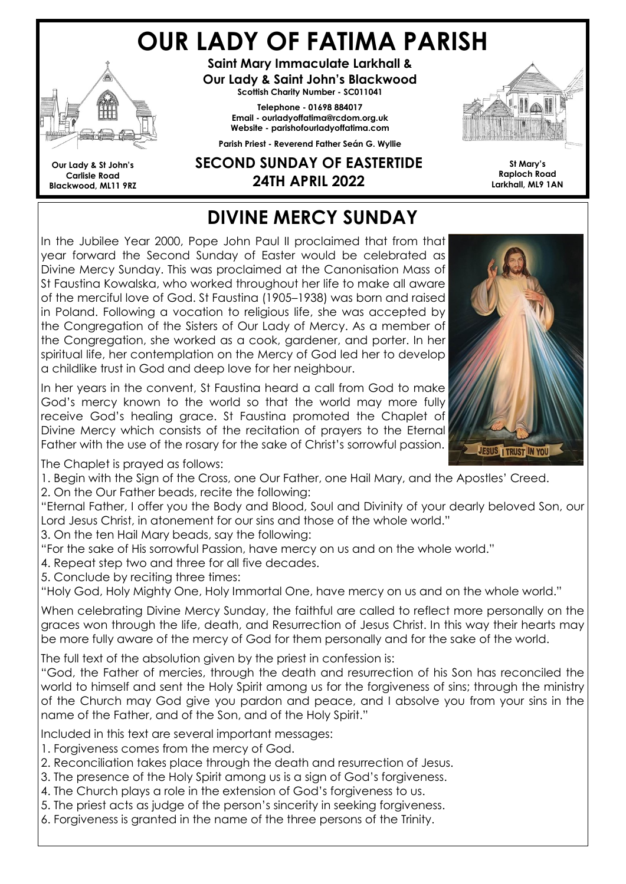# OUR LADY OF FATIMA PARISH



Our Lady & St John's Carlisle Road Blackwood, ML11 9RZ

Saint Mary Immaculate Larkhall & Our Lady & Saint John's Blackwood Scottish Charity Number - SC011041

Telephone - 01698 884017 Email - ourladyoffatima@rcdom.org.uk Website - parishofourladyoffatima.com Parish Priest - Reverend Father Seán G. Wyllie

#### SECOND SUNDAY OF EASTERTIDE 24TH APRIL 2022



St Mary's Raploch Road Larkhall, ML9 1AN

## DIVINE MERCY SUNDAY

In the Jubilee Year 2000, Pope John Paul II proclaimed that from that year forward the Second Sunday of Easter would be celebrated as Divine Mercy Sunday. This was proclaimed at the Canonisation Mass of St Faustina Kowalska, who worked throughout her life to make all aware of the merciful love of God. St Faustina (1905–1938) was born and raised in Poland. Following a vocation to religious life, she was accepted by the Congregation of the Sisters of Our Lady of Mercy. As a member of the Congregation, she worked as a cook, gardener, and porter. In her spiritual life, her contemplation on the Mercy of God led her to develop a childlike trust in God and deep love for her neighbour.

In her years in the convent, St Faustina heard a call from God to make God's mercy known to the world so that the world may more fully receive God's healing grace. St Faustina promoted the Chaplet of Divine Mercy which consists of the recitation of prayers to the Eternal Father with the use of the rosary for the sake of Christ's sorrowful passion.



The Chaplet is prayed as follows:

1. Begin with the Sign of the Cross, one Our Father, one Hail Mary, and the Apostles' Creed.

2. On the Our Father beads, recite the following:

"Eternal Father, I offer you the Body and Blood, Soul and Divinity of your dearly beloved Son, our Lord Jesus Christ, in atonement for our sins and those of the whole world."

3. On the ten Hail Mary beads, say the following:

"For the sake of His sorrowful Passion, have mercy on us and on the whole world."

4. Repeat step two and three for all five decades.

5. Conclude by reciting three times:

"Holy God, Holy Mighty One, Holy Immortal One, have mercy on us and on the whole world."

When celebrating Divine Mercy Sunday, the faithful are called to reflect more personally on the graces won through the life, death, and Resurrection of Jesus Christ. In this way their hearts may be more fully aware of the mercy of God for them personally and for the sake of the world.

The full text of the absolution given by the priest in confession is:

"God, the Father of mercies, through the death and resurrection of his Son has reconciled the world to himself and sent the Holy Spirit among us for the forgiveness of sins; through the ministry of the Church may God give you pardon and peace, and I absolve you from your sins in the name of the Father, and of the Son, and of the Holy Spirit."

Included in this text are several important messages:

- 1. Forgiveness comes from the mercy of God.
- 2. Reconciliation takes place through the death and resurrection of Jesus.
- 3. The presence of the Holy Spirit among us is a sign of God's forgiveness.
- 4. The Church plays a role in the extension of God's forgiveness to us.
- 5. The priest acts as judge of the person's sincerity in seeking forgiveness.
- 6. Forgiveness is granted in the name of the three persons of the Trinity.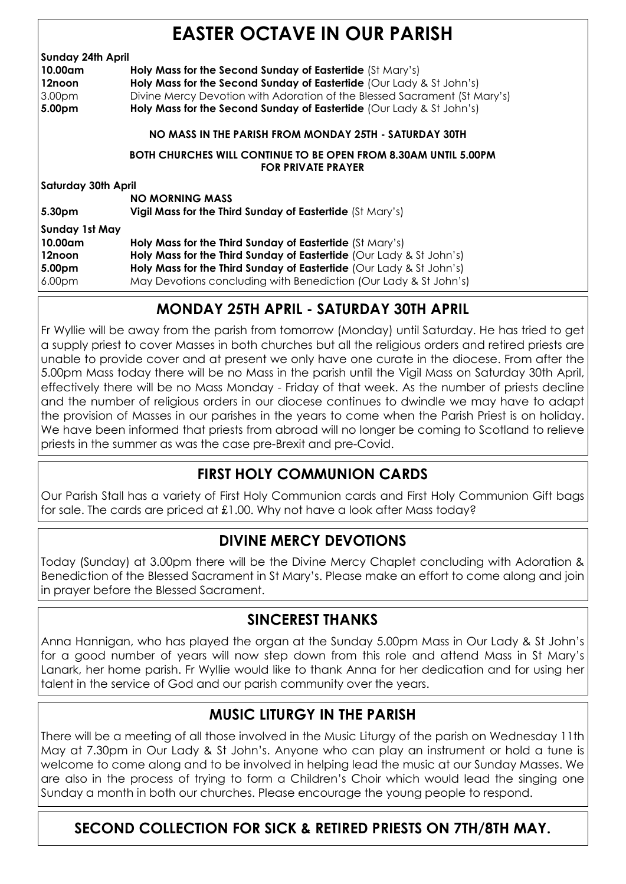|  | <b>EASTER OCTAVE IN OUR PARISH</b> |  |  |
|--|------------------------------------|--|--|
|--|------------------------------------|--|--|

| <b>Sunday 24th April</b>   |                                                                           |
|----------------------------|---------------------------------------------------------------------------|
| 10.00am                    | Holy Mass for the Second Sunday of Eastertide (St Mary's)                 |
| 12noon                     | Holy Mass for the Second Sunday of Eastertide (Our Lady & St John's)      |
| 3.00 <sub>pm</sub>         | Divine Mercy Devotion with Adoration of the Blessed Sacrament (St Mary's) |
| 5.00pm                     | Holy Mass for the Second Sunday of Eastertide (Our Lady & St John's)      |
|                            | NO MASS IN THE PARISH FROM MONDAY 25TH - SATURDAY 30TH                    |
|                            | <b>BOTH CHURCHES WILL CONTINUE TO BE OPEN FROM 8.30AM UNTIL 5.00PM</b>    |
|                            | <b>FOR PRIVATE PRAYER</b>                                                 |
| <b>Saturday 30th April</b> |                                                                           |
|                            | <b>NO MORNING MASS</b>                                                    |
| 5.30pm                     | Vigil Mass for the Third Sunday of Eastertide (St Mary's)                 |
| <b>Sunday 1st May</b>      |                                                                           |
| 10.00am                    | Holy Mass for the Third Sunday of Eastertide (St Mary's)                  |
| 12noon                     | Holy Mass for the Third Sunday of Eastertide (Our Lady & St John's)       |
| 5.00pm                     | Holy Mass for the Third Sunday of Eastertide (Our Lady & St John's)       |
| 6.00 <sub>pm</sub>         | May Devotions concluding with Benediction (Our Lady & St John's)          |
|                            |                                                                           |

#### MONDAY 25TH APRIL - SATURDAY 30TH APRIL

Fr Wyllie will be away from the parish from tomorrow (Monday) until Saturday. He has tried to get a supply priest to cover Masses in both churches but all the religious orders and retired priests are unable to provide cover and at present we only have one curate in the diocese. From after the 5.00pm Mass today there will be no Mass in the parish until the Vigil Mass on Saturday 30th April, effectively there will be no Mass Monday - Friday of that week. As the number of priests decline and the number of religious orders in our diocese continues to dwindle we may have to adapt the provision of Masses in our parishes in the years to come when the Parish Priest is on holiday. We have been informed that priests from abroad will no longer be coming to Scotland to relieve priests in the summer as was the case pre-Brexit and pre-Covid.

#### FIRST HOLY COMMUNION CARDS

Our Parish Stall has a variety of First Holy Communion cards and First Holy Communion Gift bags for sale. The cards are priced at £1.00. Why not have a look after Mass today?

#### DIVINE MERCY DEVOTIONS

Today (Sunday) at 3.00pm there will be the Divine Mercy Chaplet concluding with Adoration & Benediction of the Blessed Sacrament in St Mary's. Please make an effort to come along and join in prayer before the Blessed Sacrament.

#### SINCEREST THANKS

Anna Hannigan, who has played the organ at the Sunday 5.00pm Mass in Our Lady & St John's for a good number of years will now step down from this role and attend Mass in St Mary's Lanark, her home parish. Fr Wyllie would like to thank Anna for her dedication and for using her talent in the service of God and our parish community over the years.

#### MUSIC LITURGY IN THE PARISH

There will be a meeting of all those involved in the Music Liturgy of the parish on Wednesday 11th May at 7.30pm in Our Lady & St John's. Anyone who can play an instrument or hold a tune is welcome to come along and to be involved in helping lead the music at our Sunday Masses. We are also in the process of trying to form a Children's Choir which would lead the singing one Sunday a month in both our churches. Please encourage the young people to respond.

#### SECOND COLLECTION FOR SICK & RETIRED PRIESTS ON 7TH/8TH MAY.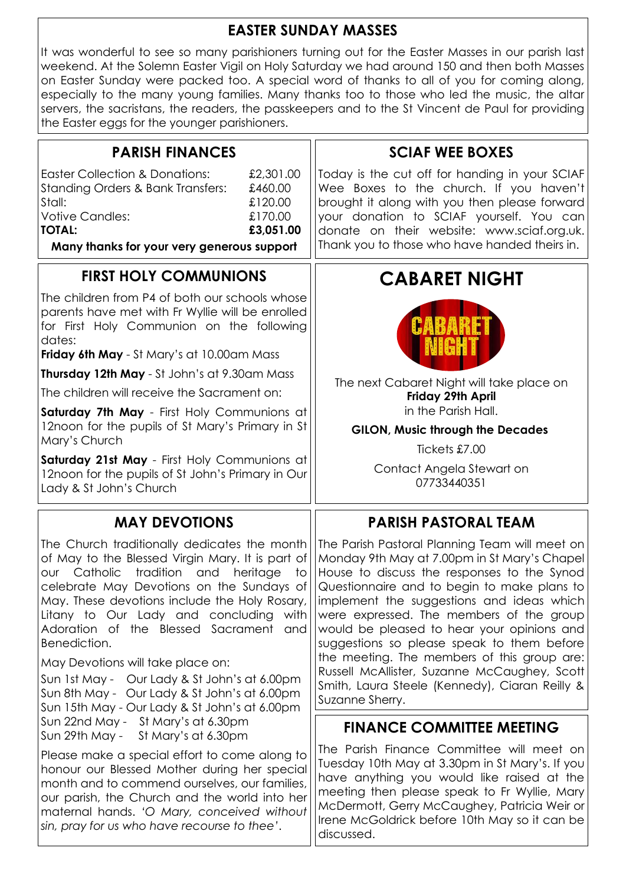#### EASTER SUNDAY MASSES

It was wonderful to see so many parishioners turning out for the Easter Masses in our parish last weekend. At the Solemn Easter Vigil on Holy Saturday we had around 150 and then both Masses on Easter Sunday were packed too. A special word of thanks to all of you for coming along, especially to the many young families. Many thanks too to those who led the music, the altar servers, the sacristans, the readers, the passkeepers and to the St Vincent de Paul for providing the Easter eggs for the younger parishioners.

| <b>PARISH FINANCES</b>                                                                                                                                                                                                                                                                                                                                                                                                                                                                                                                                  | <b>SCIAF WEE BOXES</b>                                                                                                                                                                                                                                                                                                                                                                                                                                                                                                                                |
|---------------------------------------------------------------------------------------------------------------------------------------------------------------------------------------------------------------------------------------------------------------------------------------------------------------------------------------------------------------------------------------------------------------------------------------------------------------------------------------------------------------------------------------------------------|-------------------------------------------------------------------------------------------------------------------------------------------------------------------------------------------------------------------------------------------------------------------------------------------------------------------------------------------------------------------------------------------------------------------------------------------------------------------------------------------------------------------------------------------------------|
| <b>Easter Collection &amp; Donations:</b><br>£2,301.00<br>Standing Orders & Bank Transfers:<br>£460.00<br>Stall:<br>£120.00<br><b>Votive Candles:</b><br>£170.00<br><b>TOTAL:</b><br>£3,051.00                                                                                                                                                                                                                                                                                                                                                          | Today is the cut off for handing in your SCIAF<br>Wee Boxes to the church. If you haven't<br>brought it along with you then please forward<br>your donation to SCIAF yourself. You can<br>donate on their website: www.sciaf.org.uk.                                                                                                                                                                                                                                                                                                                  |
| Many thanks for your very generous support                                                                                                                                                                                                                                                                                                                                                                                                                                                                                                              | Thank you to those who have handed theirs in.                                                                                                                                                                                                                                                                                                                                                                                                                                                                                                         |
| <b>FIRST HOLY COMMUNIONS</b>                                                                                                                                                                                                                                                                                                                                                                                                                                                                                                                            | <b>CABARET NIGHT</b>                                                                                                                                                                                                                                                                                                                                                                                                                                                                                                                                  |
| The children from P4 of both our schools whose<br>parents have met with Fr Wyllie will be enrolled<br>for First Holy Communion on the following<br>dates:<br>Friday 6th May - St Mary's at 10.00am Mass                                                                                                                                                                                                                                                                                                                                                 |                                                                                                                                                                                                                                                                                                                                                                                                                                                                                                                                                       |
| <b>Thursday 12th May</b> - St John's at 9.30am Mass                                                                                                                                                                                                                                                                                                                                                                                                                                                                                                     | The next Cabaret Night will take place on                                                                                                                                                                                                                                                                                                                                                                                                                                                                                                             |
| The children will receive the Sacrament on:                                                                                                                                                                                                                                                                                                                                                                                                                                                                                                             | Friday 29th April                                                                                                                                                                                                                                                                                                                                                                                                                                                                                                                                     |
| Saturday 7th May - First Holy Communions at<br>12noon for the pupils of St Mary's Primary in St                                                                                                                                                                                                                                                                                                                                                                                                                                                         | in the Parish Hall.<br><b>GILON, Music through the Decades</b>                                                                                                                                                                                                                                                                                                                                                                                                                                                                                        |
| Mary's Church                                                                                                                                                                                                                                                                                                                                                                                                                                                                                                                                           | Tickets £7.00                                                                                                                                                                                                                                                                                                                                                                                                                                                                                                                                         |
| Saturday 21st May - First Holy Communions at<br>12noon for the pupils of St John's Primary in Our<br>Lady & St John's Church                                                                                                                                                                                                                                                                                                                                                                                                                            | Contact Angela Stewart on<br>07733440351                                                                                                                                                                                                                                                                                                                                                                                                                                                                                                              |
| <b>MAY DEVOTIONS</b>                                                                                                                                                                                                                                                                                                                                                                                                                                                                                                                                    | <b>PARISH PASTORAL TEAM</b>                                                                                                                                                                                                                                                                                                                                                                                                                                                                                                                           |
| The Church traditionally dedicates the month<br>of May to the Blessed Virgin Mary. It is part of<br>Catholic<br>tradition<br>and<br>heritage<br>to<br>OUr<br>celebrate May Devotions on the Sundays of<br>May. These devotions include the Holy Rosary,<br>Litany to Our Lady and concluding<br>with<br>Adoration of the Blessed Sacrament<br>and<br>Benediction.<br>May Devotions will take place on:<br>Sun 1st May - Our Lady & St John's at 6.00pm<br>Sun 8th May - Our Lady & St John's at 6.00pm<br>Sun 15th May - Our Lady & St John's at 6.00pm | The Parish Pastoral Planning Team will meet on<br>Monday 9th May at 7.00pm in St Mary's Chapel<br>House to discuss the responses to the Synod<br>Questionnaire and to begin to make plans to<br>implement the suggestions and ideas which<br>were expressed. The members of the group<br>would be pleased to hear your opinions and<br>suggestions so please speak to them before<br>the meeting. The members of this group are:<br>Russell McAllister, Suzanne McCaughey, Scott<br>Smith, Laura Steele (Kennedy), Ciaran Reilly &<br>Suzanne Sherry. |
| Sun 22nd May - St Mary's at 6.30pm<br>Sun 29th May -<br>St Mary's at 6.30pm                                                                                                                                                                                                                                                                                                                                                                                                                                                                             | <b>FINANCE COMMITTEE MEETING</b>                                                                                                                                                                                                                                                                                                                                                                                                                                                                                                                      |
| Please make a special effort to come along to<br>honour our Blessed Mother during her special<br>month and to commend ourselves, our families,<br>our parish, the Church and the world into her<br>maternal hands. 'O Mary, conceived without<br>sin, pray for us who have recourse to thee'.                                                                                                                                                                                                                                                           | The Parish Finance Committee will meet on<br>Tuesday 10th May at 3.30pm in St Mary's. If you<br>have anything you would like raised at the<br>meeting then please speak to Fr Wyllie, Mary<br>McDermott, Gerry McCaughey, Patricia Weir or<br>Irene McGoldrick before 10th May so it can be<br>discussed.                                                                                                                                                                                                                                             |